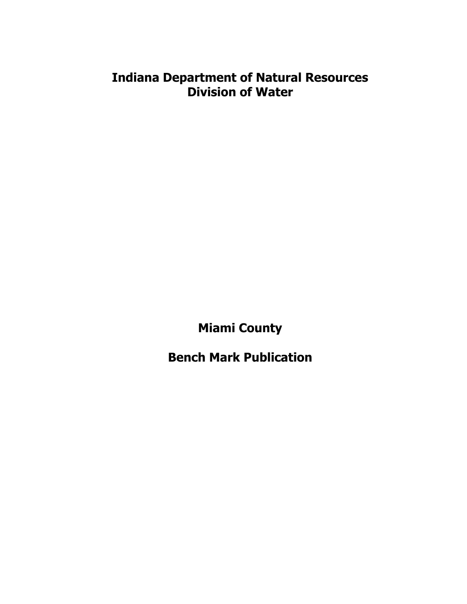# **Indiana Department of Natural Resources Division of Water**

**Miami County**

**Bench Mark Publication**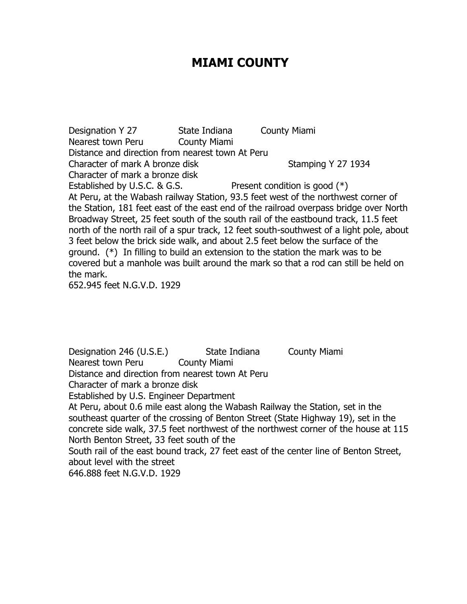# **MIAMI COUNTY**

Designation Y 27 State Indiana County Miami Nearest town Peru County Miami Distance and direction from nearest town At Peru Character of mark A bronze disk Stamping Y 27 1934 Character of mark a bronze disk Established by U.S.C. & G.S. Present condition is good  $(*)$ At Peru, at the Wabash railway Station, 93.5 feet west of the northwest corner of the Station, 181 feet east of the east end of the railroad overpass bridge over North Broadway Street, 25 feet south of the south rail of the eastbound track, 11.5 feet north of the north rail of a spur track, 12 feet south-southwest of a light pole, about 3 feet below the brick side walk, and about 2.5 feet below the surface of the ground. (\*) In filling to build an extension to the station the mark was to be covered but a manhole was built around the mark so that a rod can still be held on the mark.

652.945 feet N.G.V.D. 1929

Designation 246 (U.S.E.) State Indiana County Miami Nearest town Peru County Miami Distance and direction from nearest town At Peru Character of mark a bronze disk Established by U.S. Engineer Department At Peru, about 0.6 mile east along the Wabash Railway the Station, set in the southeast quarter of the crossing of Benton Street (State Highway 19), set in the concrete side walk, 37.5 feet northwest of the northwest corner of the house at 115 North Benton Street, 33 feet south of the South rail of the east bound track, 27 feet east of the center line of Benton Street, about level with the street 646.888 feet N.G.V.D. 1929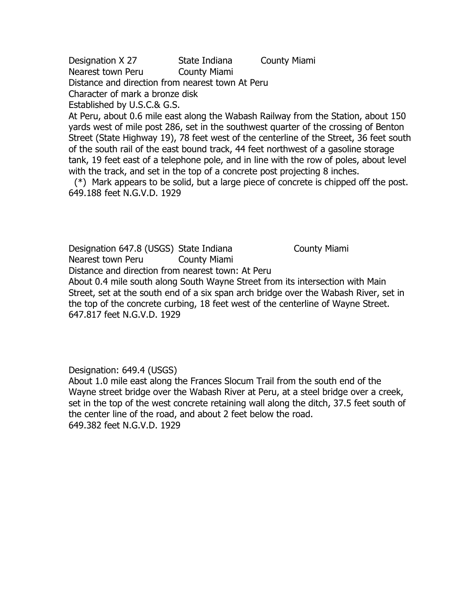Designation X 27 State Indiana County Miami Nearest town Peru County Miami Distance and direction from nearest town At Peru Character of mark a bronze disk Established by U.S.C.& G.S.

At Peru, about 0.6 mile east along the Wabash Railway from the Station, about 150 yards west of mile post 286, set in the southwest quarter of the crossing of Benton Street (State Highway 19), 78 feet west of the centerline of the Street, 36 feet south of the south rail of the east bound track, 44 feet northwest of a gasoline storage tank, 19 feet east of a telephone pole, and in line with the row of poles, about level with the track, and set in the top of a concrete post projecting 8 inches.

 (\*) Mark appears to be solid, but a large piece of concrete is chipped off the post. 649.188 feet N.G.V.D. 1929

Designation 647.8 (USGS) State Indiana County Miami Nearest town Peru County Miami Distance and direction from nearest town: At Peru

About 0.4 mile south along South Wayne Street from its intersection with Main Street, set at the south end of a six span arch bridge over the Wabash River, set in the top of the concrete curbing, 18 feet west of the centerline of Wayne Street. 647.817 feet N.G.V.D. 1929

Designation: 649.4 (USGS)

About 1.0 mile east along the Frances Slocum Trail from the south end of the Wayne street bridge over the Wabash River at Peru, at a steel bridge over a creek, set in the top of the west concrete retaining wall along the ditch, 37.5 feet south of the center line of the road, and about 2 feet below the road. 649.382 feet N.G.V.D. 1929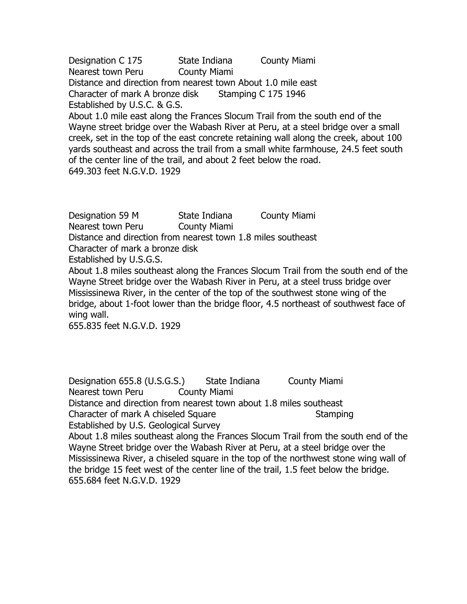Designation C 175 State Indiana County Miami Nearest town Peru County Miami Distance and direction from nearest town About 1.0 mile east Character of mark A bronze disk Stamping C 175 1946 Established by U.S.C. & G.S.

About 1.0 mile east along the Frances Slocum Trail from the south end of the Wayne street bridge over the Wabash River at Peru, at a steel bridge over a small creek, set in the top of the east concrete retaining wall along the creek, about 100 yards southeast and across the trail from a small white farmhouse, 24.5 feet south of the center line of the trail, and about 2 feet below the road. 649.303 feet N.G.V.D. 1929

Designation 59 M State Indiana County Miami Nearest town Peru County Miami Distance and direction from nearest town 1.8 miles southeast Character of mark a bronze disk Established by U.S.G.S. About 1.8 miles southeast along the Frances Slocum Trail from the south end of the Wayne Street bridge over the Wabash River in Peru, at a steel truss bridge over Mississinewa River, in the center of the top of the southwest stone wing of the bridge, about 1-foot lower than the bridge floor, 4.5 northeast of southwest face of wing wall.

655.835 feet N.G.V.D. 1929

Designation 655.8 (U.S.G.S.) State Indiana County Miami Nearest town Peru County Miami Distance and direction from nearest town about 1.8 miles southeast Character of mark A chiseled Square Stamping Established by U.S. Geological Survey About 1.8 miles southeast along the Frances Slocum Trail from the south end of the Wayne Street bridge over the Wabash River at Peru, at a steel bridge over the Mississinewa River, a chiseled square in the top of the northwest stone wing wall of the bridge 15 feet west of the center line of the trail, 1.5 feet below the bridge.

655.684 feet N.G.V.D. 1929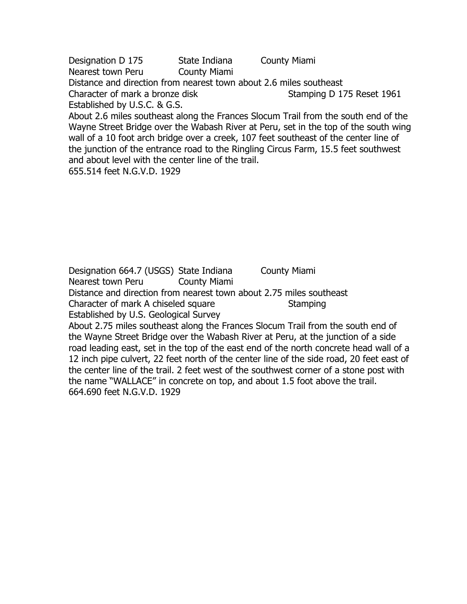Designation D 175 State Indiana County Miami Nearest town Peru County Miami Distance and direction from nearest town about 2.6 miles southeast Character of mark a bronze disk Stamping D 175 Reset 1961 Established by U.S.C. & G.S. About 2.6 miles southeast along the Frances Slocum Trail from the south end of the

Wayne Street Bridge over the Wabash River at Peru, set in the top of the south wing wall of a 10 foot arch bridge over a creek, 107 feet southeast of the center line of the junction of the entrance road to the Ringling Circus Farm, 15.5 feet southwest and about level with the center line of the trail.

655.514 feet N.G.V.D. 1929

664.690 feet N.G.V.D. 1929

Designation 664.7 (USGS) State Indiana County Miami Nearest town Peru County Miami Distance and direction from nearest town about 2.75 miles southeast Character of mark A chiseled square Stamping Established by U.S. Geological Survey About 2.75 miles southeast along the Frances Slocum Trail from the south end of the Wayne Street Bridge over the Wabash River at Peru, at the junction of a side road leading east, set in the top of the east end of the north concrete head wall of a 12 inch pipe culvert, 22 feet north of the center line of the side road, 20 feet east of the center line of the trail. 2 feet west of the southwest corner of a stone post with the name "WALLACE" in concrete on top, and about 1.5 foot above the trail.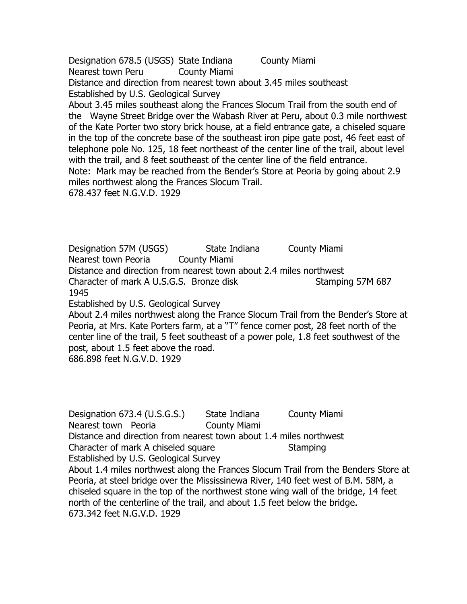Designation 678.5 (USGS) State Indiana County Miami Nearest town Peru County Miami Distance and direction from nearest town about 3.45 miles southeast Established by U.S. Geological Survey

About 3.45 miles southeast along the Frances Slocum Trail from the south end of the Wayne Street Bridge over the Wabash River at Peru, about 0.3 mile northwest of the Kate Porter two story brick house, at a field entrance gate, a chiseled square in the top of the concrete base of the southeast iron pipe gate post, 46 feet east of telephone pole No. 125, 18 feet northeast of the center line of the trail, about level with the trail, and 8 feet southeast of the center line of the field entrance. Note: Mark may be reached from the Bender's Store at Peoria by going about 2.9

miles northwest along the Frances Slocum Trail.

678.437 feet N.G.V.D. 1929

Designation 57M (USGS) State Indiana County Miami Nearest town Peoria County Miami Distance and direction from nearest town about 2.4 miles northwest Character of mark A U.S.G.S. Bronze disk Stamping 57M 687 1945

Established by U.S. Geological Survey

About 2.4 miles northwest along the France Slocum Trail from the Bender's Store at Peoria, at Mrs. Kate Porters farm, at a "T" fence corner post, 28 feet north of the center line of the trail, 5 feet southeast of a power pole, 1.8 feet southwest of the post, about 1.5 feet above the road.

686.898 feet N.G.V.D. 1929

Designation 673.4 (U.S.G.S.) State Indiana County Miami Nearest town Peoria **County Miami** Distance and direction from nearest town about 1.4 miles northwest Character of mark A chiseled square Stamping Established by U.S. Geological Survey About 1.4 miles northwest along the Frances Slocum Trail from the Benders Store at Peoria, at steel bridge over the Mississinewa River, 140 feet west of B.M. 58M, a chiseled square in the top of the northwest stone wing wall of the bridge, 14 feet north of the centerline of the trail, and about 1.5 feet below the bridge. 673.342 feet N.G.V.D. 1929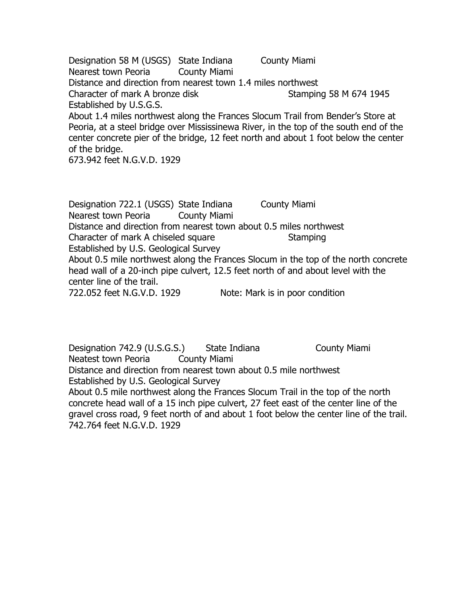Designation 58 M (USGS) State Indiana County Miami Nearest town Peoria County Miami Distance and direction from nearest town 1.4 miles northwest Character of mark A bronze disk Stamping 58 M 674 1945 Established by U.S.G.S. About 1.4 miles northwest along the Frances Slocum Trail from Bender's Store at Peoria, at a steel bridge over Mississinewa River, in the top of the south end of the center concrete pier of the bridge, 12 feet north and about 1 foot below the center

of the bridge.

673.942 feet N.G.V.D. 1929

Designation 722.1 (USGS) State Indiana County Miami Nearest town Peoria County Miami Distance and direction from nearest town about 0.5 miles northwest Character of mark A chiseled square Stamping Established by U.S. Geological Survey About 0.5 mile northwest along the Frances Slocum in the top of the north concrete head wall of a 20-inch pipe culvert, 12.5 feet north of and about level with the center line of the trail. 722.052 feet N.G.V.D. 1929 Note: Mark is in poor condition

Designation 742.9 (U.S.G.S.) State Indiana County Miami Neatest town Peoria County Miami Distance and direction from nearest town about 0.5 mile northwest Established by U.S. Geological Survey About 0.5 mile northwest along the Frances Slocum Trail in the top of the north concrete head wall of a 15 inch pipe culvert, 27 feet east of the center line of the gravel cross road, 9 feet north of and about 1 foot below the center line of the trail. 742.764 feet N.G.V.D. 1929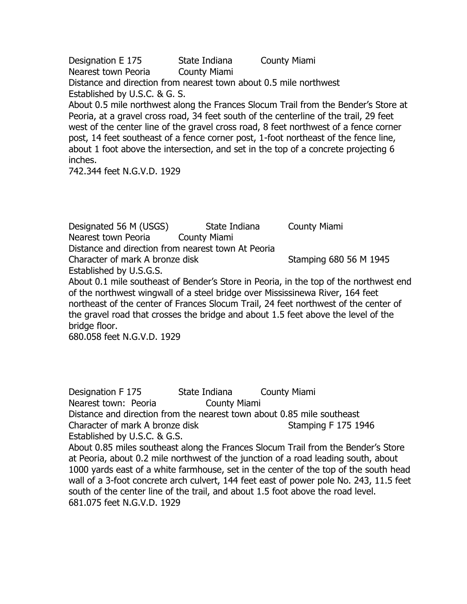Designation E 175 State Indiana County Miami Nearest town Peoria County Miami

Distance and direction from nearest town about 0.5 mile northwest Established by U.S.C. & G. S.

About 0.5 mile northwest along the Frances Slocum Trail from the Bender's Store at Peoria, at a gravel cross road, 34 feet south of the centerline of the trail, 29 feet west of the center line of the gravel cross road, 8 feet northwest of a fence corner post, 14 feet southeast of a fence corner post, 1-foot northeast of the fence line, about 1 foot above the intersection, and set in the top of a concrete projecting 6 inches.

742.344 feet N.G.V.D. 1929

Designated 56 M (USGS) State Indiana County Miami Nearest town Peoria County Miami Distance and direction from nearest town At Peoria Character of mark A bronze disk Stamping 680 56 M 1945 Established by U.S.G.S.

About 0.1 mile southeast of Bender's Store in Peoria, in the top of the northwest end of the northwest wingwall of a steel bridge over Mississinewa River, 164 feet northeast of the center of Frances Slocum Trail, 24 feet northwest of the center of the gravel road that crosses the bridge and about 1.5 feet above the level of the bridge floor.

680.058 feet N.G.V.D. 1929

Designation F 175 State Indiana County Miami Nearest town: Peoria **County Miami** Distance and direction from the nearest town about 0.85 mile southeast Character of mark A bronze disk Stamping F 175 1946 Established by U.S.C. & G.S. About 0.85 miles southeast along the Frances Slocum Trail from the Bender's Store at Peoria, about 0.2 mile northwest of the junction of a road leading south, about 1000 yards east of a white farmhouse, set in the center of the top of the south head wall of a 3-foot concrete arch culvert, 144 feet east of power pole No. 243, 11.5 feet south of the center line of the trail, and about 1.5 foot above the road level. 681.075 feet N.G.V.D. 1929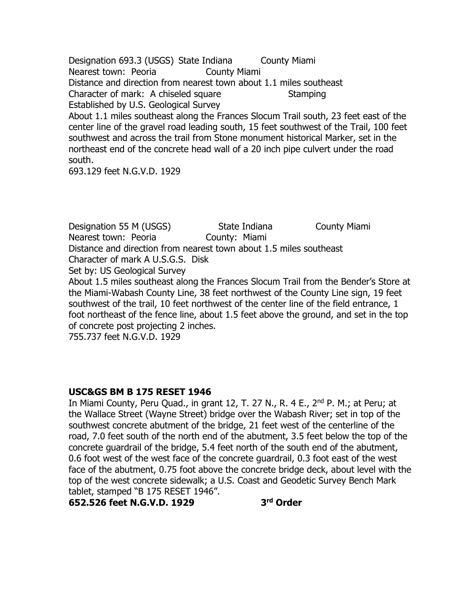Designation 693.3 (USGS) State Indiana County Miami Nearest town: Peoria **County Miami** Distance and direction from nearest town about 1.1 miles southeast Character of mark: A chiseled square Stamping Established by U.S. Geological Survey About 1.1 miles southeast along the Frances Slocum Trail south, 23 feet east of the center line of the gravel road leading south, 15 feet southwest of the Trail, 100 feet southwest and across the trail from Stone monument historical Marker, set in the northeast end of the concrete head wall of a 20 inch pipe culvert under the road south.

693.129 feet N.G.V.D. 1929

Designation 55 M (USGS) State Indiana County Miami Nearest town: Peoria **County: Miami** Distance and direction from nearest town about 1.5 miles southeast Character of mark A U.S.G.S. Disk Set by: US Geological Survey About 1.5 miles southeast along the Frances Slocum Trail from the Bender's Store at the Miami-Wabash County Line, 38 feet northwest of the County Line sign, 19 feet southwest of the trail, 10 feet northwest of the center line of the field entrance, 1 foot northeast of the fence line, about 1.5 feet above the ground, and set in the top of concrete post projecting 2 inches.

755.737 feet N.G.V.D. 1929

### **USC&GS BM B 175 RESET 1946**

In Miami County, Peru Quad., in grant 12, T. 27 N., R. 4 E., 2<sup>nd</sup> P. M.; at Peru; at the Wallace Street (Wayne Street) bridge over the Wabash River; set in top of the southwest concrete abutment of the bridge, 21 feet west of the centerline of the road, 7.0 feet south of the north end of the abutment, 3.5 feet below the top of the concrete guardrail of the bridge, 5.4 feet north of the south end of the abutment, 0.6 foot west of the west face of the concrete guardrail, 0.3 foot east of the west face of the abutment, 0.75 foot above the concrete bridge deck, about level with the top of the west concrete sidewalk; a U.S. Coast and Geodetic Survey Bench Mark tablet, stamped "B 175 RESET 1946".

**652.526 feet N.G.V.D. 1929 3**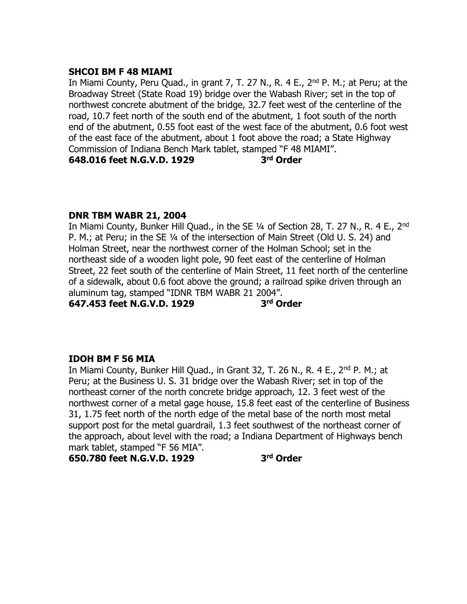# **SHCOI BM F 48 MIAMI**

In Miami County, Peru Quad., in grant 7, T. 27 N., R. 4 E.,  $2^{nd}$  P. M.; at Peru; at the Broadway Street (State Road 19) bridge over the Wabash River; set in the top of northwest concrete abutment of the bridge, 32.7 feet west of the centerline of the road, 10.7 feet north of the south end of the abutment, 1 foot south of the north end of the abutment, 0.55 foot east of the west face of the abutment, 0.6 foot west of the east face of the abutment, about 1 foot above the road; a State Highway Commission of Indiana Bench Mark tablet, stamped "F 48 MIAMI". **648.016 feet N.G.V.D. 1929 3 rd Order**

# **DNR TBM WABR 21, 2004**

In Miami County, Bunker Hill Quad., in the SE 1/4 of Section 28, T. 27 N., R. 4 E., 2<sup>nd</sup> P. M.; at Peru; in the SE ¼ of the intersection of Main Street (Old U. S. 24) and Holman Street, near the northwest corner of the Holman School; set in the northeast side of a wooden light pole, 90 feet east of the centerline of Holman Street, 22 feet south of the centerline of Main Street, 11 feet north of the centerline of a sidewalk, about 0.6 foot above the ground; a railroad spike driven through an aluminum tag, stamped "IDNR TBM WABR 21 2004". **647.453 feet N.G.V.D. 1929 3 rd Order**

# **IDOH BM F 56 MIA**

In Miami County, Bunker Hill Quad., in Grant 32, T. 26 N., R. 4 E., 2<sup>nd</sup> P. M.; at Peru; at the Business U. S. 31 bridge over the Wabash River; set in top of the northeast corner of the north concrete bridge approach, 12. 3 feet west of the northwest corner of a metal gage house, 15.8 feet east of the centerline of Business 31, 1.75 feet north of the north edge of the metal base of the north most metal support post for the metal guardrail, 1.3 feet southwest of the northeast corner of the approach, about level with the road; a Indiana Department of Highways bench mark tablet, stamped "F 56 MIA".

**650.780 feet N.G.V.D. 1929 3**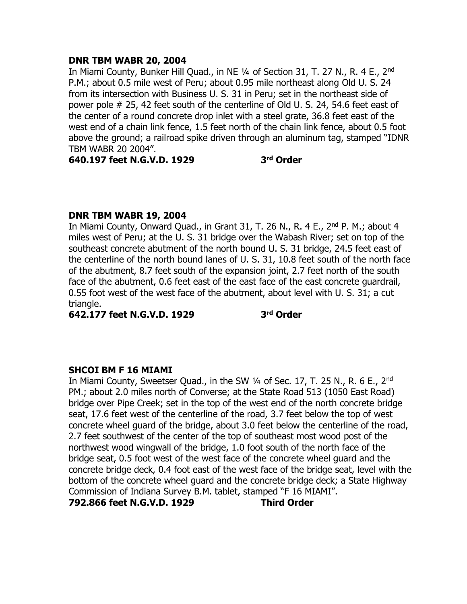#### **DNR TBM WABR 20, 2004**

In Miami County, Bunker Hill Ouad., in NE 1/4 of Section 31, T. 27 N., R. 4 E., 2<sup>nd</sup> P.M.; about 0.5 mile west of Peru; about 0.95 mile northeast along Old U. S. 24 from its intersection with Business U. S. 31 in Peru; set in the northeast side of power pole # 25, 42 feet south of the centerline of Old U. S. 24, 54.6 feet east of the center of a round concrete drop inlet with a steel grate, 36.8 feet east of the west end of a chain link fence, 1.5 feet north of the chain link fence, about 0.5 foot above the ground; a railroad spike driven through an aluminum tag, stamped "IDNR TBM WABR 20 2004".

**640.197 feet N.G.V.D. 1929 3**

**rd Order**

### **DNR TBM WABR 19, 2004**

In Miami County, Onward Quad., in Grant 31, T. 26 N., R. 4 E., 2<sup>nd</sup> P. M.; about 4 miles west of Peru; at the U. S. 31 bridge over the Wabash River; set on top of the southeast concrete abutment of the north bound U. S. 31 bridge, 24.5 feet east of the centerline of the north bound lanes of U. S. 31, 10.8 feet south of the north face of the abutment, 8.7 feet south of the expansion joint, 2.7 feet north of the south face of the abutment, 0.6 feet east of the east face of the east concrete guardrail, 0.55 foot west of the west face of the abutment, about level with U. S. 31; a cut triangle.

**642.177 feet N.G.V.D. 1929 3**

**rd Order**

### **SHCOI BM F 16 MIAMI**

In Miami County, Sweetser Quad., in the SW 1/4 of Sec. 17, T. 25 N., R. 6 E., 2<sup>nd</sup> PM.; about 2.0 miles north of Converse; at the State Road 513 (1050 East Road) bridge over Pipe Creek; set in the top of the west end of the north concrete bridge seat, 17.6 feet west of the centerline of the road, 3.7 feet below the top of west concrete wheel guard of the bridge, about 3.0 feet below the centerline of the road, 2.7 feet southwest of the center of the top of southeast most wood post of the northwest wood wingwall of the bridge, 1.0 foot south of the north face of the bridge seat, 0.5 foot west of the west face of the concrete wheel guard and the concrete bridge deck, 0.4 foot east of the west face of the bridge seat, level with the bottom of the concrete wheel guard and the concrete bridge deck; a State Highway Commission of Indiana Survey B.M. tablet, stamped "F 16 MIAMI".

**792.866 feet N.G.V.D. 1929 Third Order**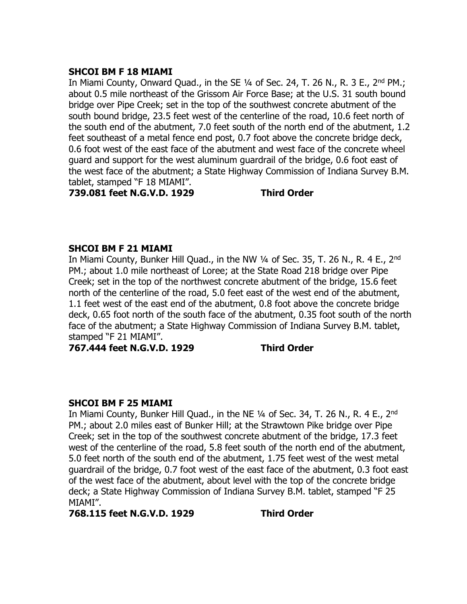# **SHCOI BM F 18 MIAMI**

In Miami County, Onward Quad., in the SE 1/4 of Sec. 24, T. 26 N., R. 3 E., 2<sup>nd</sup> PM.: about 0.5 mile northeast of the Grissom Air Force Base; at the U.S. 31 south bound bridge over Pipe Creek; set in the top of the southwest concrete abutment of the south bound bridge, 23.5 feet west of the centerline of the road, 10.6 feet north of the south end of the abutment, 7.0 feet south of the north end of the abutment, 1.2 feet southeast of a metal fence end post, 0.7 foot above the concrete bridge deck, 0.6 foot west of the east face of the abutment and west face of the concrete wheel guard and support for the west aluminum guardrail of the bridge, 0.6 foot east of the west face of the abutment; a State Highway Commission of Indiana Survey B.M. tablet, stamped "F 18 MIAMI".

**739.081 feet N.G.V.D. 1929 Third Order**

# **SHCOI BM F 21 MIAMI**

In Miami County, Bunker Hill Quad., in the NW 1/4 of Sec. 35, T. 26 N., R. 4 E., 2<sup>nd</sup> PM.; about 1.0 mile northeast of Loree; at the State Road 218 bridge over Pipe Creek; set in the top of the northwest concrete abutment of the bridge, 15.6 feet north of the centerline of the road, 5.0 feet east of the west end of the abutment, 1.1 feet west of the east end of the abutment, 0.8 foot above the concrete bridge deck, 0.65 foot north of the south face of the abutment, 0.35 foot south of the north face of the abutment; a State Highway Commission of Indiana Survey B.M. tablet, stamped "F 21 MIAMI".

**767.444 feet N.G.V.D. 1929 Third Order**

# **SHCOI BM F 25 MIAMI**

In Miami County, Bunker Hill Quad., in the NE 1/4 of Sec. 34, T. 26 N., R. 4 E., 2<sup>nd</sup> PM.; about 2.0 miles east of Bunker Hill; at the Strawtown Pike bridge over Pipe Creek; set in the top of the southwest concrete abutment of the bridge, 17.3 feet west of the centerline of the road, 5.8 feet south of the north end of the abutment, 5.0 feet north of the south end of the abutment, 1.75 feet west of the west metal guardrail of the bridge, 0.7 foot west of the east face of the abutment, 0.3 foot east of the west face of the abutment, about level with the top of the concrete bridge deck; a State Highway Commission of Indiana Survey B.M. tablet, stamped "F 25 MIAMI".

**768.115 feet N.G.V.D. 1929 Third Order**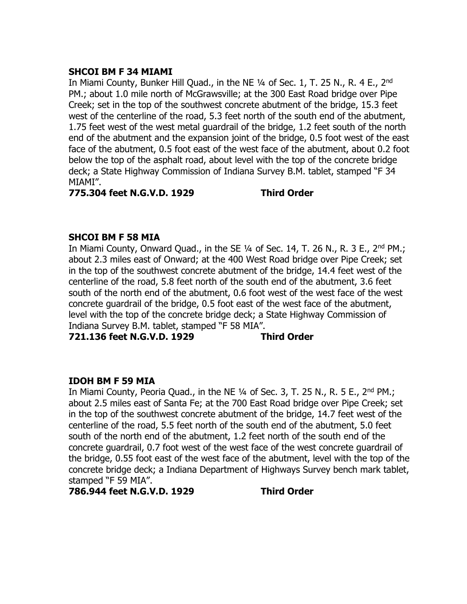# **SHCOI BM F 34 MIAMI**

In Miami County, Bunker Hill Quad., in the NE  $\frac{1}{4}$  of Sec. 1, T. 25 N., R. 4 E., 2<sup>nd</sup> PM.; about 1.0 mile north of McGrawsville; at the 300 East Road bridge over Pipe Creek; set in the top of the southwest concrete abutment of the bridge, 15.3 feet west of the centerline of the road, 5.3 feet north of the south end of the abutment, 1.75 feet west of the west metal guardrail of the bridge, 1.2 feet south of the north end of the abutment and the expansion joint of the bridge, 0.5 foot west of the east face of the abutment, 0.5 foot east of the west face of the abutment, about 0.2 foot below the top of the asphalt road, about level with the top of the concrete bridge deck; a State Highway Commission of Indiana Survey B.M. tablet, stamped "F 34 MIAMI".

**775.304 feet N.G.V.D. 1929 Third Order**

# **SHCOI BM F 58 MIA**

In Miami County, Onward Quad., in the SE  $\frac{1}{4}$  of Sec. 14, T. 26 N., R. 3 E., 2<sup>nd</sup> PM.; about 2.3 miles east of Onward; at the 400 West Road bridge over Pipe Creek; set in the top of the southwest concrete abutment of the bridge, 14.4 feet west of the centerline of the road, 5.8 feet north of the south end of the abutment, 3.6 feet south of the north end of the abutment, 0.6 foot west of the west face of the west concrete guardrail of the bridge, 0.5 foot east of the west face of the abutment, level with the top of the concrete bridge deck; a State Highway Commission of Indiana Survey B.M. tablet, stamped "F 58 MIA".

**721.136 feet N.G.V.D. 1929 Third Order**

# **IDOH BM F 59 MIA**

In Miami County, Peoria Quad., in the NE  $\frac{1}{4}$  of Sec. 3, T. 25 N., R. 5 E., 2<sup>nd</sup> PM.; about 2.5 miles east of Santa Fe; at the 700 East Road bridge over Pipe Creek; set in the top of the southwest concrete abutment of the bridge, 14.7 feet west of the centerline of the road, 5.5 feet north of the south end of the abutment, 5.0 feet south of the north end of the abutment, 1.2 feet north of the south end of the concrete guardrail, 0.7 foot west of the west face of the west concrete guardrail of the bridge, 0.55 foot east of the west face of the abutment, level with the top of the concrete bridge deck; a Indiana Department of Highways Survey bench mark tablet, stamped "F 59 MIA".

**786.944 feet N.G.V.D. 1929 Third Order**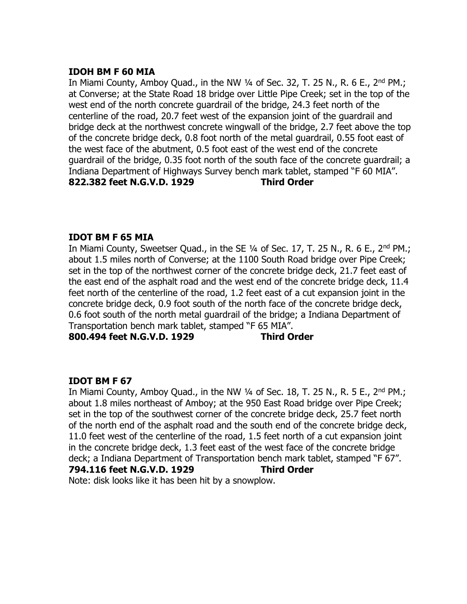## **IDOH BM F 60 MIA**

In Miami County, Amboy Quad., in the NW  $\frac{1}{4}$  of Sec. 32, T. 25 N., R. 6 E., 2<sup>nd</sup> PM.; at Converse; at the State Road 18 bridge over Little Pipe Creek; set in the top of the west end of the north concrete guardrail of the bridge, 24.3 feet north of the centerline of the road, 20.7 feet west of the expansion joint of the guardrail and bridge deck at the northwest concrete wingwall of the bridge, 2.7 feet above the top of the concrete bridge deck, 0.8 foot north of the metal guardrail, 0.55 foot east of the west face of the abutment, 0.5 foot east of the west end of the concrete guardrail of the bridge, 0.35 foot north of the south face of the concrete guardrail; a Indiana Department of Highways Survey bench mark tablet, stamped "F 60 MIA". **822.382 feet N.G.V.D. 1929 Third Order**

# **IDOT BM F 65 MIA**

In Miami County, Sweetser Quad., in the SE  $\frac{1}{4}$  of Sec. 17, T. 25 N., R. 6 E., 2<sup>nd</sup> PM.; about 1.5 miles north of Converse; at the 1100 South Road bridge over Pipe Creek; set in the top of the northwest corner of the concrete bridge deck, 21.7 feet east of the east end of the asphalt road and the west end of the concrete bridge deck, 11.4 feet north of the centerline of the road, 1.2 feet east of a cut expansion joint in the concrete bridge deck, 0.9 foot south of the north face of the concrete bridge deck, 0.6 foot south of the north metal guardrail of the bridge; a Indiana Department of Transportation bench mark tablet, stamped "F 65 MIA".

**800.494 feet N.G.V.D. 1929 Third Order**

# **IDOT BM F 67**

In Miami County, Amboy Quad., in the NW  $\frac{1}{4}$  of Sec. 18, T. 25 N., R. 5 E., 2<sup>nd</sup> PM.; about 1.8 miles northeast of Amboy; at the 950 East Road bridge over Pipe Creek; set in the top of the southwest corner of the concrete bridge deck, 25.7 feet north of the north end of the asphalt road and the south end of the concrete bridge deck, 11.0 feet west of the centerline of the road, 1.5 feet north of a cut expansion joint in the concrete bridge deck, 1.3 feet east of the west face of the concrete bridge deck; a Indiana Department of Transportation bench mark tablet, stamped "F 67". **794.116 feet N.G.V.D. 1929 Third Order**

Note: disk looks like it has been hit by a snowplow.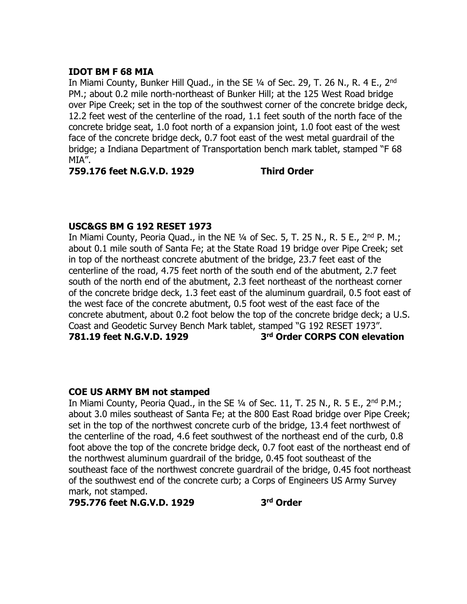# **IDOT BM F 68 MIA**

In Miami County, Bunker Hill Quad., in the SE 1/4 of Sec. 29, T. 26 N., R. 4 E., 2<sup>nd</sup> PM.; about 0.2 mile north-northeast of Bunker Hill; at the 125 West Road bridge over Pipe Creek; set in the top of the southwest corner of the concrete bridge deck, 12.2 feet west of the centerline of the road, 1.1 feet south of the north face of the concrete bridge seat, 1.0 foot north of a expansion joint, 1.0 foot east of the west face of the concrete bridge deck, 0.7 foot east of the west metal guardrail of the bridge; a Indiana Department of Transportation bench mark tablet, stamped "F 68 MIA".

**759.176 feet N.G.V.D. 1929 Third Order**

# **USC&GS BM G 192 RESET 1973**

In Miami County, Peoria Quad., in the NE  $\frac{1}{4}$  of Sec. 5, T. 25 N., R. 5 E., 2<sup>nd</sup> P. M.; about 0.1 mile south of Santa Fe; at the State Road 19 bridge over Pipe Creek; set in top of the northeast concrete abutment of the bridge, 23.7 feet east of the centerline of the road, 4.75 feet north of the south end of the abutment, 2.7 feet south of the north end of the abutment, 2.3 feet northeast of the northeast corner of the concrete bridge deck, 1.3 feet east of the aluminum guardrail, 0.5 foot east of the west face of the concrete abutment, 0.5 foot west of the east face of the concrete abutment, about 0.2 foot below the top of the concrete bridge deck; a U.S. Coast and Geodetic Survey Bench Mark tablet, stamped "G 192 RESET 1973". **781.19 feet N.G.V.D. 1929 3 rd Order CORPS CON elevation**

### **COE US ARMY BM not stamped**

In Miami County, Peoria Quad., in the SE  $1/4$  of Sec. 11, T. 25 N., R. 5 E., 2<sup>nd</sup> P.M.; about 3.0 miles southeast of Santa Fe; at the 800 East Road bridge over Pipe Creek; set in the top of the northwest concrete curb of the bridge, 13.4 feet northwest of the centerline of the road, 4.6 feet southwest of the northeast end of the curb, 0.8 foot above the top of the concrete bridge deck, 0.7 foot east of the northeast end of the northwest aluminum guardrail of the bridge, 0.45 foot southeast of the southeast face of the northwest concrete guardrail of the bridge, 0.45 foot northeast of the southwest end of the concrete curb; a Corps of Engineers US Army Survey mark, not stamped.

**795.776 feet N.G.V.D. 1929 3**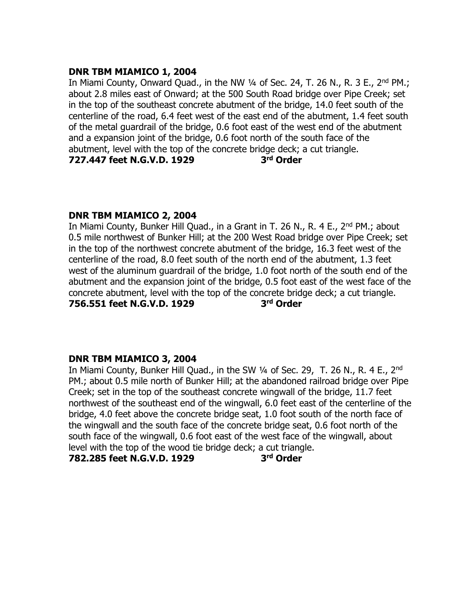# **DNR TBM MIAMICO 1, 2004**

In Miami County, Onward Quad., in the NW  $\frac{1}{4}$  of Sec. 24, T. 26 N., R. 3 E., 2<sup>nd</sup> PM.; about 2.8 miles east of Onward; at the 500 South Road bridge over Pipe Creek; set in the top of the southeast concrete abutment of the bridge, 14.0 feet south of the centerline of the road, 6.4 feet west of the east end of the abutment, 1.4 feet south of the metal guardrail of the bridge, 0.6 foot east of the west end of the abutment and a expansion joint of the bridge, 0.6 foot north of the south face of the abutment, level with the top of the concrete bridge deck; a cut triangle. **727.447 feet N.G.V.D. 1929 3 rd Order**

# **DNR TBM MIAMICO 2, 2004**

In Miami County, Bunker Hill Quad., in a Grant in T. 26 N., R. 4 E., 2<sup>nd</sup> PM.; about 0.5 mile northwest of Bunker Hill; at the 200 West Road bridge over Pipe Creek; set in the top of the northwest concrete abutment of the bridge, 16.3 feet west of the centerline of the road, 8.0 feet south of the north end of the abutment, 1.3 feet west of the aluminum guardrail of the bridge, 1.0 foot north of the south end of the abutment and the expansion joint of the bridge, 0.5 foot east of the west face of the concrete abutment, level with the top of the concrete bridge deck; a cut triangle. **756.551 feet N.G.V.D. 1929 3 rd Order**

# **DNR TBM MIAMICO 3, 2004**

In Miami County, Bunker Hill Quad., in the SW 1/4 of Sec. 29, T. 26 N., R. 4 E., 2<sup>nd</sup> PM.; about 0.5 mile north of Bunker Hill; at the abandoned railroad bridge over Pipe Creek; set in the top of the southeast concrete wingwall of the bridge, 11.7 feet northwest of the southeast end of the wingwall, 6.0 feet east of the centerline of the bridge, 4.0 feet above the concrete bridge seat, 1.0 foot south of the north face of the wingwall and the south face of the concrete bridge seat, 0.6 foot north of the south face of the wingwall, 0.6 foot east of the west face of the wingwall, about level with the top of the wood tie bridge deck; a cut triangle.

**782.285 feet N.G.V.D. 1929 3**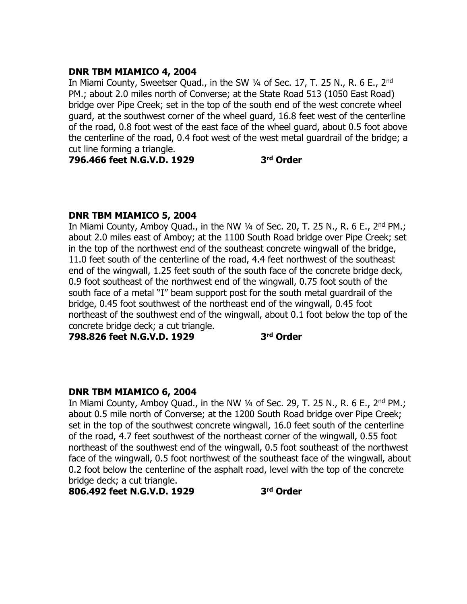## **DNR TBM MIAMICO 4, 2004**

In Miami County, Sweetser Quad., in the SW 1/4 of Sec. 17, T. 25 N., R. 6 E., 2<sup>nd</sup> PM.; about 2.0 miles north of Converse; at the State Road 513 (1050 East Road) bridge over Pipe Creek; set in the top of the south end of the west concrete wheel guard, at the southwest corner of the wheel guard, 16.8 feet west of the centerline of the road, 0.8 foot west of the east face of the wheel guard, about 0.5 foot above the centerline of the road, 0.4 foot west of the west metal guardrail of the bridge; a cut line forming a triangle.

**796.466 feet N.G.V.D. 1929 3**

**rd Order**

# **DNR TBM MIAMICO 5, 2004**

In Miami County, Amboy Quad., in the NW  $\frac{1}{4}$  of Sec. 20, T. 25 N., R. 6 E., 2<sup>nd</sup> PM.; about 2.0 miles east of Amboy; at the 1100 South Road bridge over Pipe Creek; set in the top of the northwest end of the southeast concrete wingwall of the bridge, 11.0 feet south of the centerline of the road, 4.4 feet northwest of the southeast end of the wingwall, 1.25 feet south of the south face of the concrete bridge deck, 0.9 foot southeast of the northwest end of the wingwall, 0.75 foot south of the south face of a metal "I" beam support post for the south metal guardrail of the bridge, 0.45 foot southwest of the northeast end of the wingwall, 0.45 foot northeast of the southwest end of the wingwall, about 0.1 foot below the top of the concrete bridge deck; a cut triangle.

**798.826 feet N.G.V.D. 1929 3**

**rd Order**

### **DNR TBM MIAMICO 6, 2004**

In Miami County, Amboy Quad., in the NW  $\frac{1}{4}$  of Sec. 29, T. 25 N., R. 6 E., 2<sup>nd</sup> PM.; about 0.5 mile north of Converse; at the 1200 South Road bridge over Pipe Creek; set in the top of the southwest concrete wingwall, 16.0 feet south of the centerline of the road, 4.7 feet southwest of the northeast corner of the wingwall, 0.55 foot northeast of the southwest end of the wingwall, 0.5 foot southeast of the northwest face of the wingwall, 0.5 foot northwest of the southeast face of the wingwall, about 0.2 foot below the centerline of the asphalt road, level with the top of the concrete bridge deck; a cut triangle.

**806.492 feet N.G.V.D. 1929 3**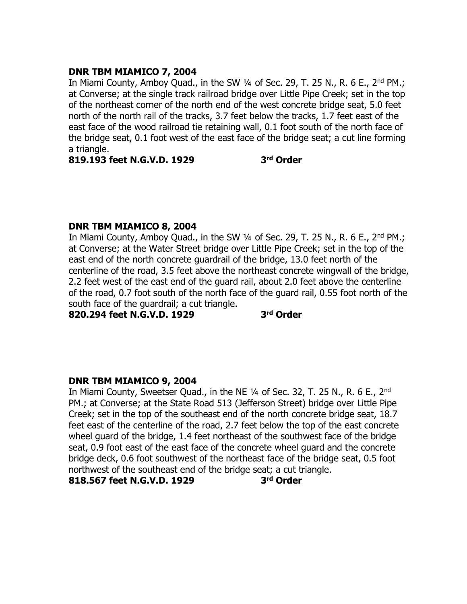# **DNR TBM MIAMICO 7, 2004**

In Miami County, Amboy Quad., in the SW 1/4 of Sec. 29, T. 25 N., R. 6 E., 2<sup>nd</sup> PM.; at Converse; at the single track railroad bridge over Little Pipe Creek; set in the top of the northeast corner of the north end of the west concrete bridge seat, 5.0 feet north of the north rail of the tracks, 3.7 feet below the tracks, 1.7 feet east of the east face of the wood railroad tie retaining wall, 0.1 foot south of the north face of the bridge seat, 0.1 foot west of the east face of the bridge seat; a cut line forming a triangle.

**819.193 feet N.G.V.D. 1929 3**

**rd Order**

# **DNR TBM MIAMICO 8, 2004**

In Miami County, Amboy Quad., in the SW  $\frac{1}{4}$  of Sec. 29, T. 25 N., R. 6 E., 2<sup>nd</sup> PM.; at Converse; at the Water Street bridge over Little Pipe Creek; set in the top of the east end of the north concrete guardrail of the bridge, 13.0 feet north of the centerline of the road, 3.5 feet above the northeast concrete wingwall of the bridge, 2.2 feet west of the east end of the guard rail, about 2.0 feet above the centerline of the road, 0.7 foot south of the north face of the guard rail, 0.55 foot north of the south face of the guardrail; a cut triangle.

**820.294 feet N.G.V.D. 1929 3**

**rd Order**

# **DNR TBM MIAMICO 9, 2004**

In Miami County, Sweetser Quad., in the NE 1/4 of Sec. 32, T. 25 N., R. 6 E., 2<sup>nd</sup> PM.; at Converse; at the State Road 513 (Jefferson Street) bridge over Little Pipe Creek; set in the top of the southeast end of the north concrete bridge seat, 18.7 feet east of the centerline of the road, 2.7 feet below the top of the east concrete wheel guard of the bridge, 1.4 feet northeast of the southwest face of the bridge seat, 0.9 foot east of the east face of the concrete wheel guard and the concrete bridge deck, 0.6 foot southwest of the northeast face of the bridge seat, 0.5 foot northwest of the southeast end of the bridge seat; a cut triangle.

**818.567 feet N.G.V.D. 1929 3**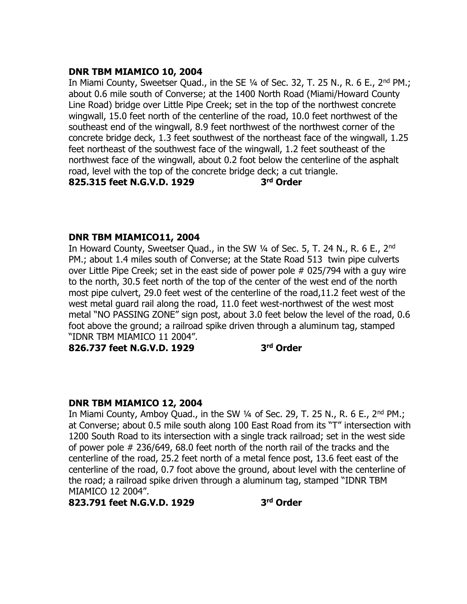## **DNR TBM MIAMICO 10, 2004**

In Miami County, Sweetser Quad., in the SE  $\frac{1}{4}$  of Sec. 32, T. 25 N., R. 6 E., 2<sup>nd</sup> PM.; about 0.6 mile south of Converse; at the 1400 North Road (Miami/Howard County Line Road) bridge over Little Pipe Creek; set in the top of the northwest concrete wingwall, 15.0 feet north of the centerline of the road, 10.0 feet northwest of the southeast end of the wingwall, 8.9 feet northwest of the northwest corner of the concrete bridge deck, 1.3 feet southwest of the northeast face of the wingwall, 1.25 feet northeast of the southwest face of the wingwall, 1.2 feet southeast of the northwest face of the wingwall, about 0.2 foot below the centerline of the asphalt road, level with the top of the concrete bridge deck; a cut triangle.

**825.315 feet N.G.V.D. 1929 3**

**rd Order**

# **DNR TBM MIAMICO11, 2004**

In Howard County, Sweetser Quad., in the SW 1/4 of Sec. 5, T. 24 N., R. 6 E., 2<sup>nd</sup> PM.; about 1.4 miles south of Converse; at the State Road 513 twin pipe culverts over Little Pipe Creek; set in the east side of power pole # 025/794 with a guy wire to the north, 30.5 feet north of the top of the center of the west end of the north most pipe culvert, 29.0 feet west of the centerline of the road,11.2 feet west of the west metal guard rail along the road, 11.0 feet west-northwest of the west most metal "NO PASSING ZONE" sign post, about 3.0 feet below the level of the road, 0.6 foot above the ground; a railroad spike driven through a aluminum tag, stamped "IDNR TBM MIAMICO 11 2004".

**826.737 feet N.G.V.D. 1929 3**

**rd Order**

# **DNR TBM MIAMICO 12, 2004**

In Miami County, Amboy Quad., in the SW  $\frac{1}{4}$  of Sec. 29, T. 25 N., R. 6 E., 2<sup>nd</sup> PM.; at Converse; about 0.5 mile south along 100 East Road from its "T" intersection with 1200 South Road to its intersection with a single track railroad; set in the west side of power pole # 236/649, 68.0 feet north of the north rail of the tracks and the centerline of the road, 25.2 feet north of a metal fence post, 13.6 feet east of the centerline of the road, 0.7 foot above the ground, about level with the centerline of the road; a railroad spike driven through a aluminum tag, stamped "IDNR TBM MIAMICO 12 2004".

**823.791 feet N.G.V.D. 1929 3**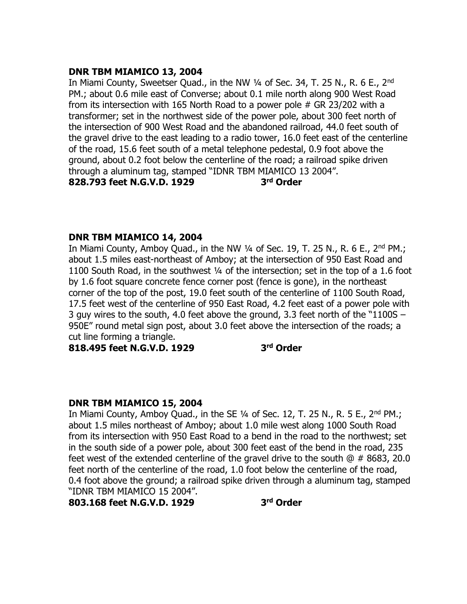# **DNR TBM MIAMICO 13, 2004**

In Miami County, Sweetser Quad., in the NW 1/4 of Sec. 34, T. 25 N., R. 6 E., 2<sup>nd</sup> PM.; about 0.6 mile east of Converse; about 0.1 mile north along 900 West Road from its intersection with 165 North Road to a power pole # GR 23/202 with a transformer; set in the northwest side of the power pole, about 300 feet north of the intersection of 900 West Road and the abandoned railroad, 44.0 feet south of the gravel drive to the east leading to a radio tower, 16.0 feet east of the centerline of the road, 15.6 feet south of a metal telephone pedestal, 0.9 foot above the ground, about 0.2 foot below the centerline of the road; a railroad spike driven through a aluminum tag, stamped "IDNR TBM MIAMICO 13 2004". **828.793 feet N.G.V.D. 1929 3 rd Order**

### **DNR TBM MIAMICO 14, 2004**

In Miami County, Amboy Quad., in the NW  $\frac{1}{4}$  of Sec. 19, T. 25 N., R. 6 E., 2<sup>nd</sup> PM.; about 1.5 miles east-northeast of Amboy; at the intersection of 950 East Road and 1100 South Road, in the southwest ¼ of the intersection; set in the top of a 1.6 foot by 1.6 foot square concrete fence corner post (fence is gone), in the northeast corner of the top of the post, 19.0 feet south of the centerline of 1100 South Road, 17.5 feet west of the centerline of 950 East Road, 4.2 feet east of a power pole with 3 guy wires to the south, 4.0 feet above the ground, 3.3 feet north of the "1100S – 950E" round metal sign post, about 3.0 feet above the intersection of the roads; a cut line forming a triangle.

**818.495 feet N.G.V.D. 1929 3**

**rd Order**

### **DNR TBM MIAMICO 15, 2004**

In Miami County, Amboy Quad., in the SE  $\frac{1}{4}$  of Sec. 12, T. 25 N., R. 5 E., 2<sup>nd</sup> PM.; about 1.5 miles northeast of Amboy; about 1.0 mile west along 1000 South Road from its intersection with 950 East Road to a bend in the road to the northwest; set in the south side of a power pole, about 300 feet east of the bend in the road, 235 feet west of the extended centerline of the gravel drive to the south  $\omega \# 8683$ , 20.0 feet north of the centerline of the road, 1.0 foot below the centerline of the road, 0.4 foot above the ground; a railroad spike driven through a aluminum tag, stamped "IDNR TBM MIAMICO 15 2004".

**803.168 feet N.G.V.D. 1929 3**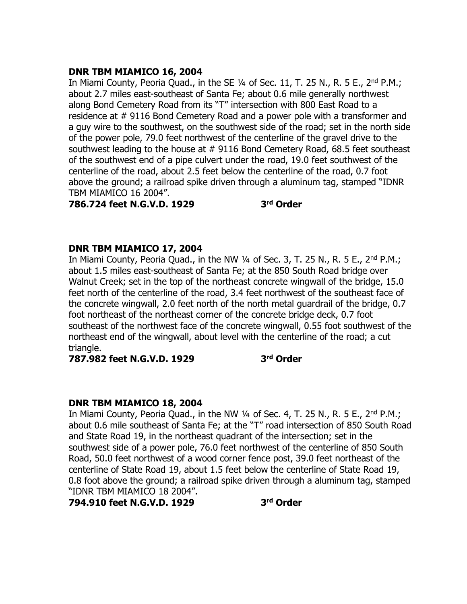# **DNR TBM MIAMICO 16, 2004**

In Miami County, Peoria Quad., in the SE 1/4 of Sec. 11, T. 25 N., R. 5 E., 2<sup>nd</sup> P.M.: about 2.7 miles east-southeast of Santa Fe; about 0.6 mile generally northwest along Bond Cemetery Road from its "T" intersection with 800 East Road to a residence at # 9116 Bond Cemetery Road and a power pole with a transformer and a guy wire to the southwest, on the southwest side of the road; set in the north side of the power pole, 79.0 feet northwest of the centerline of the gravel drive to the southwest leading to the house at # 9116 Bond Cemetery Road, 68.5 feet southeast of the southwest end of a pipe culvert under the road, 19.0 feet southwest of the centerline of the road, about 2.5 feet below the centerline of the road, 0.7 foot above the ground; a railroad spike driven through a aluminum tag, stamped "IDNR TBM MIAMICO 16 2004".

**786.724 feet N.G.V.D. 1929 3**

**rd Order**

# **DNR TBM MIAMICO 17, 2004**

In Miami County, Peoria Quad., in the NW  $\frac{1}{4}$  of Sec. 3, T. 25 N., R. 5 E., 2<sup>nd</sup> P.M.; about 1.5 miles east-southeast of Santa Fe; at the 850 South Road bridge over Walnut Creek; set in the top of the northeast concrete wingwall of the bridge, 15.0 feet north of the centerline of the road, 3.4 feet northwest of the southeast face of the concrete wingwall, 2.0 feet north of the north metal guardrail of the bridge, 0.7 foot northeast of the northeast corner of the concrete bridge deck, 0.7 foot southeast of the northwest face of the concrete wingwall, 0.55 foot southwest of the northeast end of the wingwall, about level with the centerline of the road; a cut triangle.

**787.982 feet N.G.V.D. 1929 3**

**rd Order**

### **DNR TBM MIAMICO 18, 2004**

In Miami County, Peoria Quad., in the NW  $\frac{1}{4}$  of Sec. 4, T. 25 N., R. 5 E., 2<sup>nd</sup> P.M.; about 0.6 mile southeast of Santa Fe; at the "T" road intersection of 850 South Road and State Road 19, in the northeast quadrant of the intersection; set in the southwest side of a power pole, 76.0 feet northwest of the centerline of 850 South Road, 50.0 feet northwest of a wood corner fence post, 39.0 feet northeast of the centerline of State Road 19, about 1.5 feet below the centerline of State Road 19, 0.8 foot above the ground; a railroad spike driven through a aluminum tag, stamped "IDNR TBM MIAMICO 18 2004".

**794.910 feet N.G.V.D. 1929 3**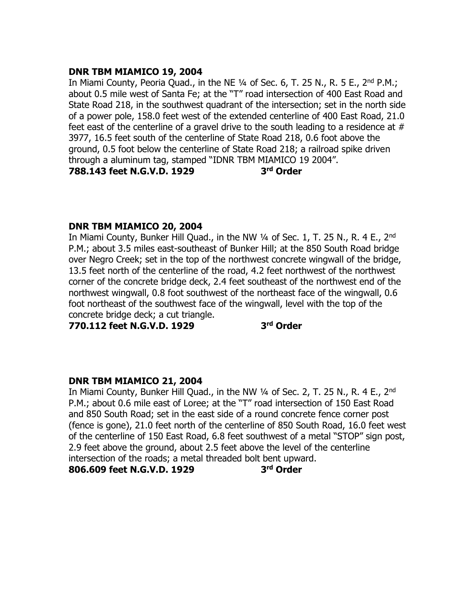## **DNR TBM MIAMICO 19, 2004**

In Miami County, Peoria Quad., in the NE  $\frac{1}{4}$  of Sec. 6, T. 25 N., R. 5 E., 2<sup>nd</sup> P.M.; about 0.5 mile west of Santa Fe; at the "T" road intersection of 400 East Road and State Road 218, in the southwest quadrant of the intersection; set in the north side of a power pole, 158.0 feet west of the extended centerline of 400 East Road, 21.0 feet east of the centerline of a gravel drive to the south leading to a residence at  $#$ 3977, 16.5 feet south of the centerline of State Road 218, 0.6 foot above the ground, 0.5 foot below the centerline of State Road 218; a railroad spike driven through a aluminum tag, stamped "IDNR TBM MIAMICO 19 2004".

**788.143 feet N.G.V.D. 1929 3**

**rd Order**

# **DNR TBM MIAMICO 20, 2004**

In Miami County, Bunker Hill Quad., in the NW  $\frac{1}{4}$  of Sec. 1, T. 25 N., R. 4 E., 2<sup>nd</sup> P.M.; about 3.5 miles east-southeast of Bunker Hill; at the 850 South Road bridge over Negro Creek; set in the top of the northwest concrete wingwall of the bridge, 13.5 feet north of the centerline of the road, 4.2 feet northwest of the northwest corner of the concrete bridge deck, 2.4 feet southeast of the northwest end of the northwest wingwall, 0.8 foot southwest of the northeast face of the wingwall, 0.6 foot northeast of the southwest face of the wingwall, level with the top of the concrete bridge deck; a cut triangle.

**770.112 feet N.G.V.D. 1929 3**

**rd Order**

# **DNR TBM MIAMICO 21, 2004**

In Miami County, Bunker Hill Quad., in the NW 1/4 of Sec. 2, T. 25 N., R. 4 E., 2<sup>nd</sup> P.M.; about 0.6 mile east of Loree; at the "T" road intersection of 150 East Road and 850 South Road; set in the east side of a round concrete fence corner post (fence is gone), 21.0 feet north of the centerline of 850 South Road, 16.0 feet west of the centerline of 150 East Road, 6.8 feet southwest of a metal "STOP" sign post, 2.9 feet above the ground, about 2.5 feet above the level of the centerline intersection of the roads; a metal threaded bolt bent upward.

#### **806.609 feet N.G.V.D. 1929 3**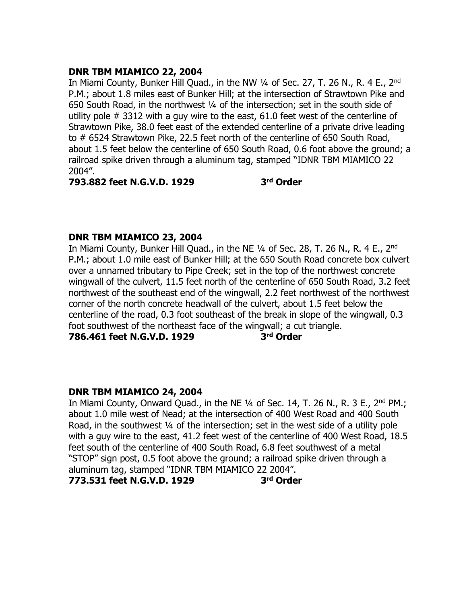# **DNR TBM MIAMICO 22, 2004**

In Miami County, Bunker Hill Quad., in the NW 1/4 of Sec. 27, T. 26 N., R. 4 E., 2<sup>nd</sup> P.M.; about 1.8 miles east of Bunker Hill; at the intersection of Strawtown Pike and 650 South Road, in the northwest ¼ of the intersection; set in the south side of utility pole # 3312 with a guy wire to the east, 61.0 feet west of the centerline of Strawtown Pike, 38.0 feet east of the extended centerline of a private drive leading to # 6524 Strawtown Pike, 22.5 feet north of the centerline of 650 South Road, about 1.5 feet below the centerline of 650 South Road, 0.6 foot above the ground; a railroad spike driven through a aluminum tag, stamped "IDNR TBM MIAMICO 22 2004".

**793.882 feet N.G.V.D. 1929 3 rd Order**

# **DNR TBM MIAMICO 23, 2004**

In Miami County, Bunker Hill Quad., in the NE 1/4 of Sec. 28, T. 26 N., R. 4 E., 2<sup>nd</sup> P.M.; about 1.0 mile east of Bunker Hill; at the 650 South Road concrete box culvert over a unnamed tributary to Pipe Creek; set in the top of the northwest concrete wingwall of the culvert, 11.5 feet north of the centerline of 650 South Road, 3.2 feet northwest of the southeast end of the wingwall, 2.2 feet northwest of the northwest corner of the north concrete headwall of the culvert, about 1.5 feet below the centerline of the road, 0.3 foot southeast of the break in slope of the wingwall, 0.3 foot southwest of the northeast face of the wingwall; a cut triangle.

**786.461 feet N.G.V.D. 1929 3**

**rd Order**

### **DNR TBM MIAMICO 24, 2004**

In Miami County, Onward Quad., in the NE  $\frac{1}{4}$  of Sec. 14, T. 26 N., R. 3 E., 2<sup>nd</sup> PM.; about 1.0 mile west of Nead; at the intersection of 400 West Road and 400 South Road, in the southwest  $\frac{1}{4}$  of the intersection; set in the west side of a utility pole with a guy wire to the east, 41.2 feet west of the centerline of 400 West Road, 18.5 feet south of the centerline of 400 South Road, 6.8 feet southwest of a metal "STOP" sign post, 0.5 foot above the ground; a railroad spike driven through a aluminum tag, stamped "IDNR TBM MIAMICO 22 2004". **773.531 feet N.G.V.D. 1929 3 rd Order**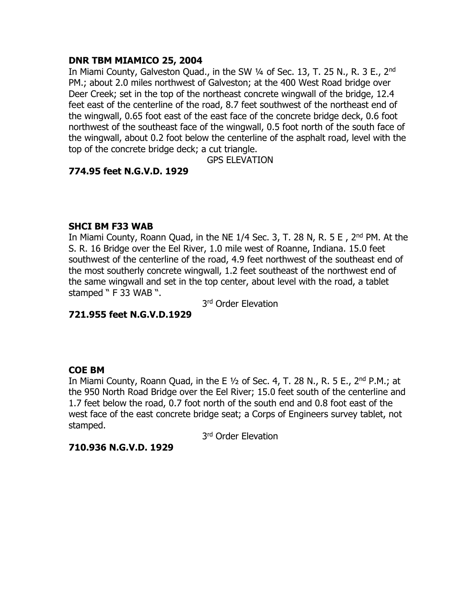# **DNR TBM MIAMICO 25, 2004**

In Miami County, Galveston Quad., in the SW 1/4 of Sec. 13, T. 25 N., R. 3 E., 2<sup>nd</sup> PM.; about 2.0 miles northwest of Galveston; at the 400 West Road bridge over Deer Creek; set in the top of the northeast concrete wingwall of the bridge, 12.4 feet east of the centerline of the road, 8.7 feet southwest of the northeast end of the wingwall, 0.65 foot east of the east face of the concrete bridge deck, 0.6 foot northwest of the southeast face of the wingwall, 0.5 foot north of the south face of the wingwall, about 0.2 foot below the centerline of the asphalt road, level with the top of the concrete bridge deck; a cut triangle.

GPS ELEVATION

# **774.95 feet N.G.V.D. 1929**

### **SHCI BM F33 WAB**

In Miami County, Roann Quad, in the NE  $1/4$  Sec. 3, T. 28 N, R. 5 E, 2<sup>nd</sup> PM. At the S. R. 16 Bridge over the Eel River, 1.0 mile west of Roanne, Indiana. 15.0 feet southwest of the centerline of the road, 4.9 feet northwest of the southeast end of the most southerly concrete wingwall, 1.2 feet southeast of the northwest end of the same wingwall and set in the top center, about level with the road, a tablet stamped " F 33 WAB ".

3<sup>rd</sup> Order Elevation

**721.955 feet N.G.V.D.1929**

# **COE BM**

In Miami County, Roann Quad, in the E  $\frac{1}{2}$  of Sec. 4, T. 28 N., R. 5 E., 2<sup>nd</sup> P.M.; at the 950 North Road Bridge over the Eel River; 15.0 feet south of the centerline and 1.7 feet below the road, 0.7 foot north of the south end and 0.8 foot east of the west face of the east concrete bridge seat; a Corps of Engineers survey tablet, not stamped.

3<sup>rd</sup> Order Elevation

### **710.936 N.G.V.D. 1929**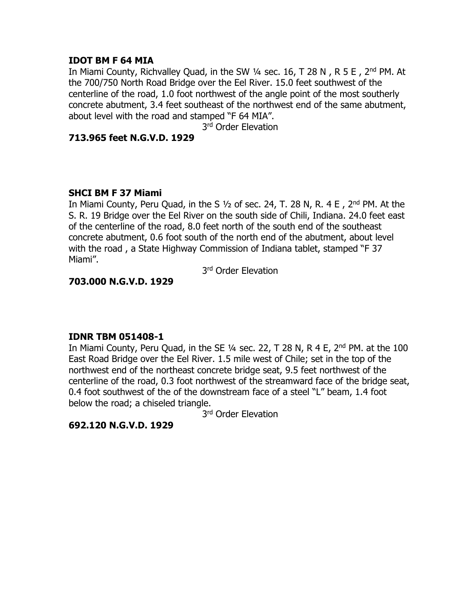## **IDOT BM F 64 MIA**

In Miami County, Richvalley Ouad, in the SW 1/4 sec. 16, T 28 N, R 5 E, 2<sup>nd</sup> PM, At the 700/750 North Road Bridge over the Eel River. 15.0 feet southwest of the centerline of the road, 1.0 foot northwest of the angle point of the most southerly concrete abutment, 3.4 feet southeast of the northwest end of the same abutment, about level with the road and stamped "F 64 MIA".

3<sup>rd</sup> Order Elevation

# **713.965 feet N.G.V.D. 1929**

# **SHCI BM F 37 Miami**

In Miami County, Peru Quad, in the S  $1/2$  of sec. 24, T. 28 N, R. 4 E, 2<sup>nd</sup> PM. At the S. R. 19 Bridge over the Eel River on the south side of Chili, Indiana. 24.0 feet east of the centerline of the road, 8.0 feet north of the south end of the southeast concrete abutment, 0.6 foot south of the north end of the abutment, about level with the road , a State Highway Commission of Indiana tablet, stamped "F 37 Miami".

3<sup>rd</sup> Order Elevation

# **703.000 N.G.V.D. 1929**

# **IDNR TBM 051408-1**

In Miami County, Peru Quad, in the SE  $\frac{1}{4}$  sec. 22, T 28 N, R 4 E, 2<sup>nd</sup> PM. at the 100 East Road Bridge over the Eel River. 1.5 mile west of Chile; set in the top of the northwest end of the northeast concrete bridge seat, 9.5 feet northwest of the centerline of the road, 0.3 foot northwest of the streamward face of the bridge seat, 0.4 foot southwest of the of the downstream face of a steel "L" beam, 1.4 foot below the road; a chiseled triangle.

3<sup>rd</sup> Order Elevation

**692.120 N.G.V.D. 1929**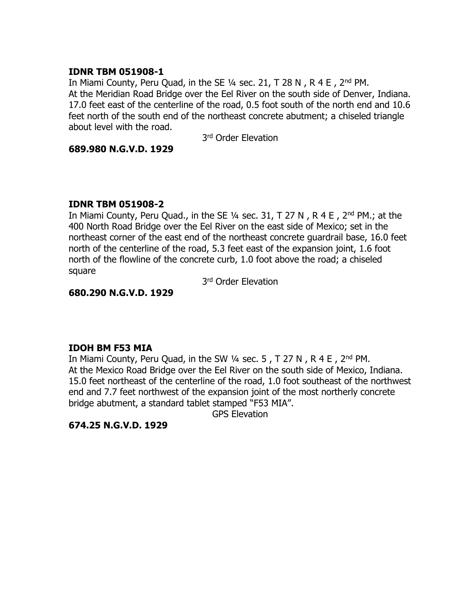## **IDNR TBM 051908-1**

In Miami County, Peru Quad, in the SE  $\frac{1}{4}$  sec. 21, T 28 N, R 4 E, 2<sup>nd</sup> PM. At the Meridian Road Bridge over the Eel River on the south side of Denver, Indiana. 17.0 feet east of the centerline of the road, 0.5 foot south of the north end and 10.6 feet north of the south end of the northeast concrete abutment; a chiseled triangle about level with the road.

3<sup>rd</sup> Order Elevation

## **689.980 N.G.V.D. 1929**

# **IDNR TBM 051908-2**

In Miami County, Peru Quad., in the SE  $\frac{1}{4}$  sec. 31, T 27 N, R 4 E, 2<sup>nd</sup> PM.; at the 400 North Road Bridge over the Eel River on the east side of Mexico; set in the northeast corner of the east end of the northeast concrete guardrail base, 16.0 feet north of the centerline of the road, 5.3 feet east of the expansion joint, 1.6 foot north of the flowline of the concrete curb, 1.0 foot above the road; a chiseled square

3<sup>rd</sup> Order Elevation

### **680.290 N.G.V.D. 1929**

# **IDOH BM F53 MIA**

In Miami County, Peru Quad, in the SW  $\frac{1}{4}$  sec. 5, T 27 N, R 4 E, 2<sup>nd</sup> PM. At the Mexico Road Bridge over the Eel River on the south side of Mexico, Indiana. 15.0 feet northeast of the centerline of the road, 1.0 foot southeast of the northwest end and 7.7 feet northwest of the expansion joint of the most northerly concrete bridge abutment, a standard tablet stamped "F53 MIA".

GPS Elevation

# **674.25 N.G.V.D. 1929**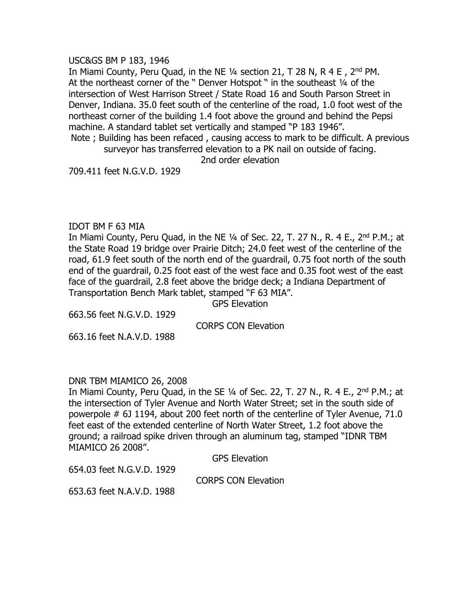USC&GS BM P 183, 1946

In Miami County, Peru Quad, in the NE 1/4 section 21, T 28 N, R 4 E, 2<sup>nd</sup> PM. At the northeast corner of the " Denver Hotspot " in the southeast 1/4 of the intersection of West Harrison Street / State Road 16 and South Parson Street in Denver, Indiana. 35.0 feet south of the centerline of the road, 1.0 foot west of the northeast corner of the building 1.4 foot above the ground and behind the Pepsi machine. A standard tablet set vertically and stamped "P 183 1946". Note ; Building has been refaced , causing access to mark to be difficult. A previous

surveyor has transferred elevation to a PK nail on outside of facing.

2nd order elevation

709.411 feet N.G.V.D. 1929

#### IDOT BM F 63 MIA

In Miami County, Peru Quad, in the NE 1/4 of Sec. 22, T. 27 N., R. 4 E., 2<sup>nd</sup> P.M.; at the State Road 19 bridge over Prairie Ditch; 24.0 feet west of the centerline of the road, 61.9 feet south of the north end of the guardrail, 0.75 foot north of the south end of the guardrail, 0.25 foot east of the west face and 0.35 foot west of the east face of the guardrail, 2.8 feet above the bridge deck; a Indiana Department of Transportation Bench Mark tablet, stamped "F 63 MIA".

GPS Elevation

663.56 feet N.G.V.D. 1929

CORPS CON Elevation

663.16 feet N.A.V.D. 1988

### DNR TBM MIAMICO 26, 2008

In Miami County, Peru Quad, in the SE  $\frac{1}{4}$  of Sec. 22, T. 27 N., R. 4 E., 2<sup>nd</sup> P.M.; at the intersection of Tyler Avenue and North Water Street; set in the south side of powerpole # 6J 1194, about 200 feet north of the centerline of Tyler Avenue, 71.0 feet east of the extended centerline of North Water Street, 1.2 foot above the ground; a railroad spike driven through an aluminum tag, stamped "IDNR TBM MIAMICO 26 2008".

GPS Elevation

654.03 feet N.G.V.D. 1929

CORPS CON Elevation

653.63 feet N.A.V.D. 1988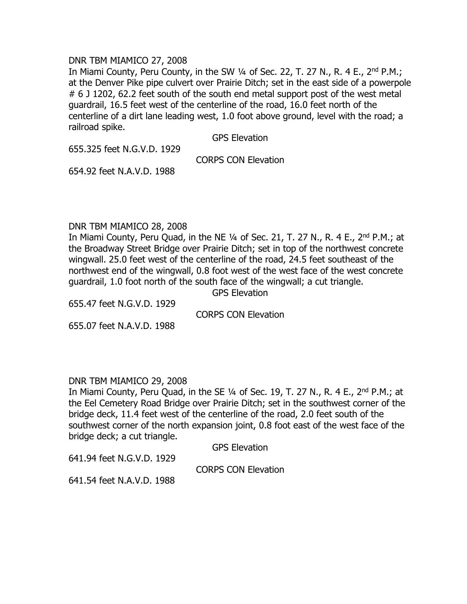#### DNR TBM MIAMICO 27, 2008

In Miami County, Peru County, in the SW  $\frac{1}{4}$  of Sec. 22, T. 27 N., R. 4 E., 2<sup>nd</sup> P.M.; at the Denver Pike pipe culvert over Prairie Ditch; set in the east side of a powerpole # 6 J 1202, 62.2 feet south of the south end metal support post of the west metal guardrail, 16.5 feet west of the centerline of the road, 16.0 feet north of the centerline of a dirt lane leading west, 1.0 foot above ground, level with the road; a railroad spike.

GPS Elevation

655.325 feet N.G.V.D. 1929

CORPS CON Elevation

654.92 feet N.A.V.D. 1988

#### DNR TBM MIAMICO 28, 2008

In Miami County, Peru Quad, in the NE  $\frac{1}{4}$  of Sec. 21, T. 27 N., R. 4 E., 2<sup>nd</sup> P.M.; at the Broadway Street Bridge over Prairie Ditch; set in top of the northwest concrete wingwall. 25.0 feet west of the centerline of the road, 24.5 feet southeast of the northwest end of the wingwall, 0.8 foot west of the west face of the west concrete guardrail, 1.0 foot north of the south face of the wingwall; a cut triangle.

GPS Elevation

655.47 feet N.G.V.D. 1929 655.07 feet N.A.V.D. 1988

CORPS CON Elevation

### DNR TBM MIAMICO 29, 2008

In Miami County, Peru Quad, in the SE 1/4 of Sec. 19, T. 27 N., R. 4 E., 2<sup>nd</sup> P.M.; at the Eel Cemetery Road Bridge over Prairie Ditch; set in the southwest corner of the bridge deck, 11.4 feet west of the centerline of the road, 2.0 feet south of the southwest corner of the north expansion joint, 0.8 foot east of the west face of the bridge deck; a cut triangle.

GPS Elevation

641.94 feet N.G.V.D. 1929

CORPS CON Elevation

641.54 feet N.A.V.D. 1988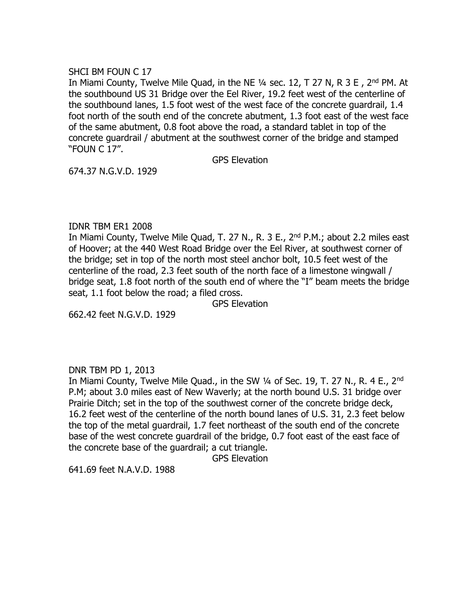#### SHCI BM FOUN C 17

In Miami County, Twelve Mile Quad, in the NE 1/4 sec. 12, T 27 N, R 3 E, 2<sup>nd</sup> PM. At the southbound US 31 Bridge over the Eel River, 19.2 feet west of the centerline of the southbound lanes, 1.5 foot west of the west face of the concrete guardrail, 1.4 foot north of the south end of the concrete abutment, 1.3 foot east of the west face of the same abutment, 0.8 foot above the road, a standard tablet in top of the concrete guardrail / abutment at the southwest corner of the bridge and stamped "FOUN C 17".

GPS Elevation

674.37 N.G.V.D. 1929

### IDNR TBM ER1 2008

In Miami County, Twelve Mile Quad, T. 27 N., R. 3 E., 2<sup>nd</sup> P.M.; about 2.2 miles east of Hoover; at the 440 West Road Bridge over the Eel River, at southwest corner of the bridge; set in top of the north most steel anchor bolt, 10.5 feet west of the centerline of the road, 2.3 feet south of the north face of a limestone wingwall / bridge seat, 1.8 foot north of the south end of where the "I" beam meets the bridge seat, 1.1 foot below the road; a filed cross.

GPS Elevation

662.42 feet N.G.V.D. 1929

### DNR TBM PD 1, 2013

In Miami County, Twelve Mile Quad., in the SW 1/4 of Sec. 19, T. 27 N., R. 4 E., 2<sup>nd</sup> P.M; about 3.0 miles east of New Waverly; at the north bound U.S. 31 bridge over Prairie Ditch; set in the top of the southwest corner of the concrete bridge deck, 16.2 feet west of the centerline of the north bound lanes of U.S. 31, 2.3 feet below the top of the metal guardrail, 1.7 feet northeast of the south end of the concrete base of the west concrete guardrail of the bridge, 0.7 foot east of the east face of the concrete base of the guardrail; a cut triangle.

GPS Elevation

641.69 feet N.A.V.D. 1988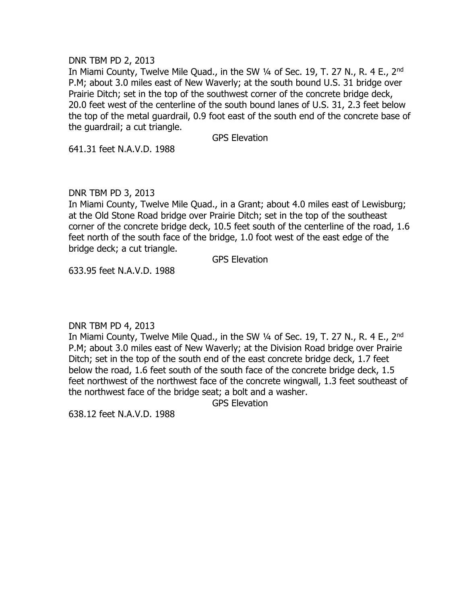DNR TBM PD 2, 2013

In Miami County, Twelve Mile Quad., in the SW 1/4 of Sec. 19, T. 27 N., R. 4 E., 2<sup>nd</sup> P.M; about 3.0 miles east of New Waverly; at the south bound U.S. 31 bridge over Prairie Ditch; set in the top of the southwest corner of the concrete bridge deck, 20.0 feet west of the centerline of the south bound lanes of U.S. 31, 2.3 feet below the top of the metal guardrail, 0.9 foot east of the south end of the concrete base of the guardrail; a cut triangle.

GPS Elevation

641.31 feet N.A.V.D. 1988

DNR TBM PD 3, 2013

In Miami County, Twelve Mile Quad., in a Grant; about 4.0 miles east of Lewisburg; at the Old Stone Road bridge over Prairie Ditch; set in the top of the southeast corner of the concrete bridge deck, 10.5 feet south of the centerline of the road, 1.6 feet north of the south face of the bridge, 1.0 foot west of the east edge of the bridge deck; a cut triangle.

GPS Elevation

633.95 feet N.A.V.D. 1988

DNR TBM PD 4, 2013

In Miami County, Twelve Mile Quad., in the SW 1/4 of Sec. 19, T. 27 N., R. 4 E., 2<sup>nd</sup> P.M; about 3.0 miles east of New Waverly; at the Division Road bridge over Prairie Ditch; set in the top of the south end of the east concrete bridge deck, 1.7 feet below the road, 1.6 feet south of the south face of the concrete bridge deck, 1.5 feet northwest of the northwest face of the concrete wingwall, 1.3 feet southeast of the northwest face of the bridge seat; a bolt and a washer.

GPS Elevation

638.12 feet N.A.V.D. 1988